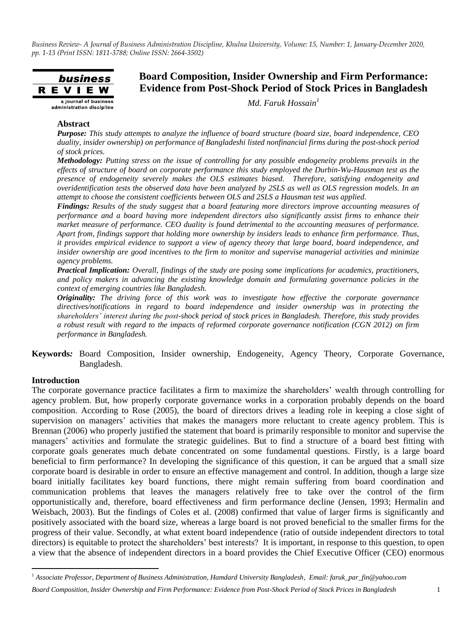

# **Board Composition, Insider Ownership and Firm Performance: Evidence from Post-Shock Period of Stock Prices in Bangladesh**

*Md. Faruk Hossain<sup>1</sup>*

# **Abstract**

*Purpose: This study attempts to analyze the influence of board structure (board size, board independence, CEO duality, insider ownership) on performance of Bangladeshi listed nonfinancial firms during the post-shock period of stock prices.*

*Methodology: Putting stress on the issue of controlling for any possible endogeneity problems prevails in the effects of structure of board on corporate performance this study employed the Durbin-Wu-Hausman test as the presence of endogeneity severely makes the OLS estimates biased. Therefore, satisfying endogeneity and overidentification tests the observed data have been analyzed by 2SLS as well as OLS regression models. In an attempt to choose the consistent coefficients between OLS and 2SLS a Hausman test was applied.* 

*Findings: Results of the study suggest that a board featuring more directors improve accounting measures of performance and a board having more independent directors also significantly assist firms to enhance their market measure of performance. CEO duality is found detrimental to the accounting measures of performance. Apart from, findings support that holding more ownership by insiders leads to enhance firm performance. Thus, it provides empirical evidence to support a view of agency theory that large board, board independence, and insider ownership are good incentives to the firm to monitor and supervise managerial activities and minimize agency problems.* 

*Practical Implication: Overall, findings of the study are posing some implications for academics, practitioners, and policy makers in advancing the existing knowledge domain and formulating governance policies in the context of emerging countries like Bangladesh.* 

*Originality: The driving force of this work was to investigate how effective the corporate governance directives/notifications in regard to board independence and insider ownership was in protecting the shareholders' interest during the post-shock period of stock prices in Bangladesh. Therefore, this study provides a robust result with regard to the impacts of reformed corporate governance notification (CGN 2012) on firm performance in Bangladesh.*

**Keywords***:* Board Composition, Insider ownership, Endogeneity, Agency Theory, Corporate Governance, Bangladesh.

#### **Introduction**

 $\overline{\phantom{a}}$ 

The corporate governance practice facilitates a firm to maximize the shareholders" wealth through controlling for agency problem. But, how properly corporate governance works in a corporation probably depends on the board composition. According to Rose (2005), the board of directors drives a leading role in keeping a close sight of supervision on managers' activities that makes the managers more reluctant to create agency problem. This is Brennan (2006) who properly justified the statement that board is primarily responsible to monitor and supervise the managers' activities and formulate the strategic guidelines. But to find a structure of a board best fitting with corporate goals generates much debate concentrated on some fundamental questions. Firstly, is a large board beneficial to firm performance? In developing the significance of this question, it can be argued that a small size corporate board is desirable in order to ensure an effective management and control. In addition, though a large size board initially facilitates key board functions, there might remain suffering from board coordination and communication problems that leaves the managers relatively free to take over the control of the firm opportunistically and, therefore, board effectiveness and firm performance decline (Jensen, 1993; Hermalin and Weisbach, 2003). But the findings of Coles et al. (2008) confirmed that value of larger firms is significantly and positively associated with the board size, whereas a large board is not proved beneficial to the smaller firms for the progress of their value. Secondly, at what extent board independence (ratio of outside independent directors to total directors) is equitable to protect the shareholders' best interests? It is important, in response to this question, to open a view that the absence of independent directors in a board provides the Chief Executive Officer (CEO) enormous

<sup>1</sup> *Associate Professor, Department of Business Administration, Hamdard University Bangladesh, Email: faruk\_par\_fin@yahoo.com*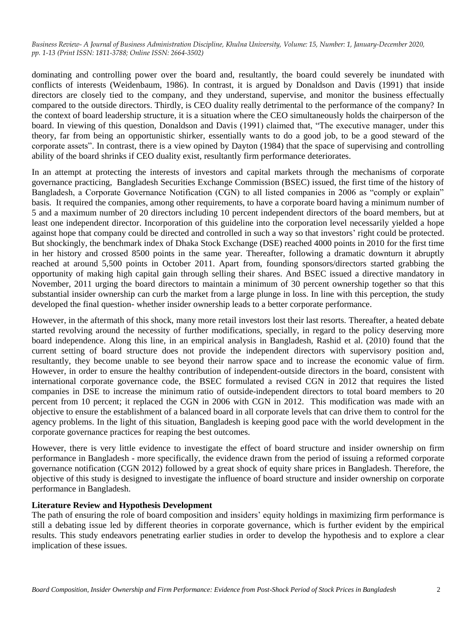dominating and controlling power over the board and, resultantly, the board could severely be inundated with conflicts of interests (Weidenbaum, 1986). In contrast, it is argued by Donaldson and Davis (1991) that inside directors are closely tied to the company, and they understand, supervise, and monitor the business effectually compared to the outside directors. Thirdly, is CEO duality really detrimental to the performance of the company? In the context of board leadership structure, it is a situation where the CEO simultaneously holds the chairperson of the board. In viewing of this question, Donaldson and Davis (1991) claimed that, "The executive manager, under this theory, far from being an opportunistic shirker, essentially wants to do a good job, to be a good steward of the corporate assets". In contrast, there is a view opined by Dayton (1984) that the space of supervising and controlling ability of the board shrinks if CEO duality exist, resultantly firm performance deteriorates.

In an attempt at protecting the interests of investors and capital markets through the mechanisms of corporate governance practicing, Bangladesh Securities Exchange Commission (BSEC) issued, the first time of the history of Bangladesh, a Corporate Governance Notification (CGN) to all listed companies in 2006 as "comply or explain" basis. It required the companies, among other requirements, to have a corporate board having a minimum number of 5 and a maximum number of 20 directors including 10 percent independent directors of the board members, but at least one independent director. Incorporation of this guideline into the corporation level necessarily yielded a hope against hope that company could be directed and controlled in such a way so that investors" right could be protected. But shockingly, the benchmark index of Dhaka Stock Exchange (DSE) reached 4000 points in 2010 for the first time in her history and crossed 8500 points in the same year. Thereafter, following a dramatic downturn it abruptly reached at around 5,500 points in October 2011. Apart from, founding sponsors/directors started grabbing the opportunity of making high capital gain through selling their shares. And BSEC issued a directive mandatory in November, 2011 urging the board directors to maintain a minimum of 30 percent ownership together so that this substantial insider ownership can curb the market from a large plunge in loss. In line with this perception, the study developed the final question- whether insider ownership leads to a better corporate performance.

However, in the aftermath of this shock, many more retail investors lost their last resorts. Thereafter, a heated debate started revolving around the necessity of further modifications, specially, in regard to the policy deserving more board independence. Along this line, in an empirical analysis in Bangladesh, Rashid et al. (2010) found that the current setting of board structure does not provide the independent directors with supervisory position and, resultantly, they become unable to see beyond their narrow space and to increase the economic value of firm. However, in order to ensure the healthy contribution of independent-outside directors in the board, consistent with international corporate governance code, the BSEC formulated a revised CGN in 2012 that requires the listed companies in DSE to increase the minimum ratio of outside-independent directors to total board members to 20 percent from 10 percent; it replaced the CGN in 2006 with CGN in 2012. This modification was made with an objective to ensure the establishment of a balanced board in all corporate levels that can drive them to control for the agency problems. In the light of this situation, Bangladesh is keeping good pace with the world development in the corporate governance practices for reaping the best outcomes.

However, there is very little evidence to investigate the effect of board structure and insider ownership on firm performance in Bangladesh - more specifically, the evidence drawn from the period of issuing a reformed corporate governance notification (CGN 2012) followed by a great shock of equity share prices in Bangladesh. Therefore, the objective of this study is designed to investigate the influence of board structure and insider ownership on corporate performance in Bangladesh.

#### **Literature Review and Hypothesis Development**

The path of ensuring the role of board composition and insiders" equity holdings in maximizing firm performance is still a debating issue led by different theories in corporate governance, which is further evident by the empirical results. This study endeavors penetrating earlier studies in order to develop the hypothesis and to explore a clear implication of these issues.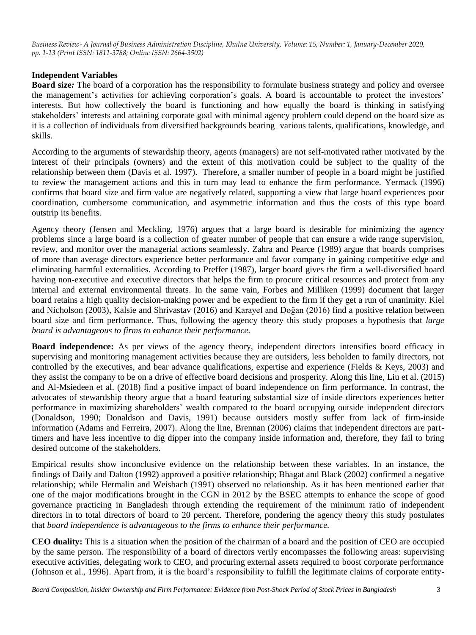# **Independent Variables**

**Board size***:* The board of a corporation has the responsibility to formulate business strategy and policy and oversee the management's activities for achieving corporation's goals. A board is accountable to protect the investors' interests. But how collectively the board is functioning and how equally the board is thinking in satisfying stakeholders" interests and attaining corporate goal with minimal agency problem could depend on the board size as it is a collection of individuals from diversified backgrounds bearing various talents, qualifications, knowledge, and skills.

According to the arguments of stewardship theory, agents (managers) are not self-motivated rather motivated by the interest of their principals (owners) and the extent of this motivation could be subject to the quality of the relationship between them (Davis et al. 1997). Therefore, a smaller number of people in a board might be justified to review the management actions and this in turn may lead to enhance the firm performance. Yermack (1996) confirms that board size and firm value are negatively related, supporting a view that large board experiences poor coordination, cumbersome communication, and asymmetric information and thus the costs of this type board outstrip its benefits.

Agency theory (Jensen and Meckling, 1976) argues that a large board is desirable for minimizing the agency problems since a large board is a collection of greater number of people that can ensure a wide range supervision, review, and monitor over the managerial actions seamlessly. Zahra and Pearce (1989) argue that boards comprises of more than average directors experience better performance and favor company in gaining competitive edge and eliminating harmful externalities. According to Preffer (1987), larger board gives the firm a well-diversified board having non-executive and executive directors that helps the firm to procure critical resources and protect from any internal and external environmental threats. In the same vain, Forbes and Milliken (1999) document that larger board retains a high quality decision-making power and be expedient to the firm if they get a run of unanimity. Kiel and Nicholson (2003), Kalsie and Shrivastav (2016) and Karayel and Doğan (2016) find a positive relation between board size and firm performance. Thus, following the agency theory this study proposes a hypothesis that *large board is advantageous to firms to enhance their performance.*

**Board independence:** As per views of the agency theory, independent directors intensifies board efficacy in supervising and monitoring management activities because they are outsiders, less beholden to family directors, not controlled by the executives, and bear advance qualifications, expertise and experience (Fields & Keys, 2003) and they assist the company to be on a drive of effective board decisions and prosperity. Along this line, Liu et al. (2015) and Al-Msiedeen et al. (2018) find a positive impact of board independence on firm performance. In contrast, the advocates of stewardship theory argue that a board featuring substantial size of inside directors experiences better performance in maximizing shareholders" wealth compared to the board occupying outside independent directors (Donaldson, 1990; Donaldson and Davis, 1991) because outsiders mostly suffer from lack of firm-inside information (Adams and Ferreira, 2007). Along the line, Brennan (2006) claims that independent directors are parttimers and have less incentive to dig dipper into the company inside information and, therefore, they fail to bring desired outcome of the stakeholders.

Empirical results show inconclusive evidence on the relationship between these variables. In an instance, the findings of Daily and Dalton (1992) approved a positive relationship; Bhagat and Black (2002) confirmed a negative relationship; while Hermalin and Weisbach (1991) observed no relationship. As it has been mentioned earlier that one of the major modifications brought in the CGN in 2012 by the BSEC attempts to enhance the scope of good governance practicing in Bangladesh through extending the requirement of the minimum ratio of independent directors in to total directors of board to 20 percent. Therefore, pondering the agency theory this study postulates that *board independence is advantageous to the firms to enhance their performance.*

**CEO duality:** This is a situation when the position of the chairman of a board and the position of CEO are occupied by the same person. The responsibility of a board of directors verily encompasses the following areas: supervising executive activities, delegating work to CEO, and procuring external assets required to boost corporate performance (Johnson et al., 1996). Apart from, it is the board"s responsibility to fulfill the legitimate claims of corporate entity-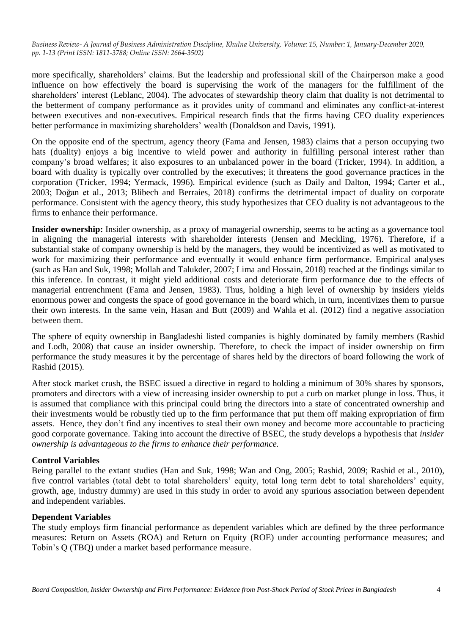more specifically, shareholders" claims. But the leadership and professional skill of the Chairperson make a good influence on how effectively the board is supervising the work of the managers for the fulfillment of the shareholders' interest (Leblanc, 2004). The advocates of stewardship theory claim that duality is not detrimental to the betterment of company performance as it provides unity of command and eliminates any conflict-at-interest between executives and non-executives. Empirical research finds that the firms having CEO duality experiences better performance in maximizing shareholders' wealth (Donaldson and Davis, 1991).

On the opposite end of the spectrum, agency theory (Fama and Jensen, 1983) claims that a person occupying two hats (duality) enjoys a big incentive to wield power and authority in fulfilling personal interest rather than company"s broad welfares; it also exposures to an unbalanced power in the board (Tricker, 1994). In addition, a board with duality is typically over controlled by the executives; it threatens the good governance practices in the corporation (Tricker, 1994; Yermack, 1996). Empirical evidence (such as Daily and Dalton, 1994; Carter et al., 2003; Doğan et al., 2013; Blibech and Berraies, 2018) confirms the detrimental impact of duality on corporate performance. Consistent with the agency theory, this study hypothesizes that CEO duality is not advantageous to the firms to enhance their performance.

**Insider ownership:** Insider ownership, as a proxy of managerial ownership, seems to be acting as a governance tool in aligning the managerial interests with shareholder interests (Jensen and Meckling, 1976). Therefore, if a substantial stake of company ownership is held by the managers, they would be incentivized as well as motivated to work for maximizing their performance and eventually it would enhance firm performance. Empirical analyses (such as Han and Suk, 1998; Mollah and Talukder, 2007; Lima and Hossain, 2018) reached at the findings similar to this inference. In contrast, it might yield additional costs and deteriorate firm performance due to the effects of managerial entrenchment (Fama and Jensen, 1983). Thus, holding a high level of ownership by insiders yields enormous power and congests the space of good governance in the board which, in turn, incentivizes them to pursue their own interests. In the same vein, Hasan and Butt (2009) and Wahla et al. (2012) find a negative association between them.

The sphere of equity ownership in Bangladeshi listed companies is highly dominated by family members (Rashid and Lodh, 2008) that cause an insider ownership. Therefore, to check the impact of insider ownership on firm performance the study measures it by the percentage of shares held by the directors of board following the work of Rashid (2015).

After stock market crush, the BSEC issued a directive in regard to holding a minimum of 30% shares by sponsors, promoters and directors with a view of increasing insider ownership to put a curb on market plunge in loss. Thus, it is assumed that compliance with this principal could bring the directors into a state of concentrated ownership and their investments would be robustly tied up to the firm performance that put them off making expropriation of firm assets. Hence, they don"t find any incentives to steal their own money and become more accountable to practicing good corporate governance. Taking into account the directive of BSEC, the study develops a hypothesis that *insider ownership is advantageous to the firms to enhance their performance.*

# **Control Variables**

Being parallel to the extant studies (Han and Suk, 1998; Wan and Ong, 2005; Rashid, 2009; Rashid et al., 2010), five control variables (total debt to total shareholders" equity, total long term debt to total shareholders" equity, growth, age, industry dummy) are used in this study in order to avoid any spurious association between dependent and independent variables.

#### **Dependent Variables**

The study employs firm financial performance as dependent variables which are defined by the three performance measures: Return on Assets (ROA) and Return on Equity (ROE) under accounting performance measures; and Tobin"s Q (TBQ) under a market based performance measure.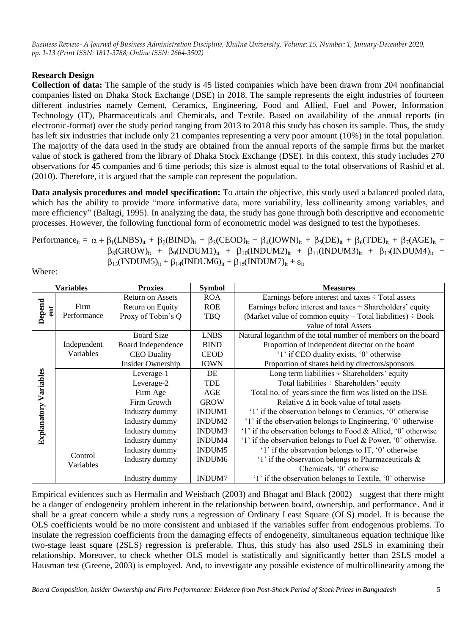# **Research Design**

**Collection of data:** The sample of the study is 45 listed companies which have been drawn from 204 nonfinancial companies listed on Dhaka Stock Exchange (DSE) in 2018. The sample represents the eight industries of fourteen different industries namely Cement, Ceramics, Engineering, Food and Allied, Fuel and Power, Information Technology (IT), Pharmaceuticals and Chemicals, and Textile. Based on availability of the annual reports (in electronic-format) over the study period ranging from 2013 to 2018 this study has chosen its sample. Thus, the study has left six industries that include only 21 companies representing a very poor amount (10%) in the total population. The majority of the data used in the study are obtained from the annual reports of the sample firms but the market value of stock is gathered from the library of Dhaka Stock Exchange (DSE). In this context, this study includes 270 observations for 45 companies and 6 time periods; this size is almost equal to the total observations of Rashid et al. (2010). Therefore, it is argued that the sample can represent the population.

**Data analysis procedures and model specification:** To attain the objective, this study used a balanced pooled data, which has the ability to provide "more informative data, more variability, less collinearity among variables, and more efficiency" (Baltagi, 1995). In analyzing the data, the study has gone through both descriptive and econometric processes. However, the following functional form of econometric model was designed to test the hypotheses.

Performance<sub>it</sub> =  $\alpha$  +  $\beta_1(LNBS)_{it}$  +  $\beta_2(BIND)_{it}$  +  $\beta_3(CEOD)_{it}$  +  $\beta_4(DWN)_{it}$  +  $\beta_5(DE)_{it}$  +  $\beta_6(TDE)_{it}$  +  $\beta_7(AGE)_{it}$  $\beta_8(GROW)_{it} + \beta_9(INDUM1)_{it} + \beta_{10}(INDUM2)_{it} + \beta_{11}(INDUM3)_{it} + \beta_{12}(INDUM4)_{it} +$  $\beta_{13}$ (INDUM5)<sub>it</sub> +  $\beta_{14}$ (INDUM6)<sub>it</sub> +  $\beta_{15}$ (INDUM7)<sub>it</sub> +  $\varepsilon_{it}$ 

Where:

| Variables     |             | <b>Proxies</b>          | <b>Symbol</b>      | <b>Measures</b>                                                 |             |                                                 |
|---------------|-------------|-------------------------|--------------------|-----------------------------------------------------------------|-------------|-------------------------------------------------|
|               |             | <b>Return on Assets</b> | <b>ROA</b>         | Earnings before interest and taxes $\div$ Total assets          |             |                                                 |
| Depend<br>ent | Firm        | Return on Equity        | <b>ROE</b>         | Earnings before interest and taxes $\div$ Shareholders' equity  |             |                                                 |
|               | Performance | Proxy of Tobin's Q      | <b>TBQ</b>         | (Market value of common equity + Total liabilities) $\div$ Book |             |                                                 |
|               |             |                         |                    | value of total Assets                                           |             |                                                 |
|               |             | <b>Board Size</b>       | <b>LNBS</b>        | Natural logarithm of the total number of members on the board   |             |                                                 |
|               | Independent | Board Independence      | <b>BIND</b>        | Proportion of independent director on the board                 |             |                                                 |
|               | Variables   | <b>CEO</b> Duality      | <b>CEOD</b>        | '1' if CEO duality exists, '0' otherwise                        |             |                                                 |
|               |             | Insider Ownership       | <b>IOWN</b>        | Proportion of shares held by directors/sponsors                 |             |                                                 |
| Variables     |             | Leverage-1              | DE                 | Long term liabilities $\div$ Shareholders' equity               |             |                                                 |
|               |             | Leverage-2              | <b>TDE</b>         | Total liabilities $\div$ Shareholders' equity                   |             |                                                 |
|               |             | Firm Age                | AGE                | Total no. of years since the firm was listed on the DSE         |             |                                                 |
|               |             |                         |                    | Firm Growth                                                     | <b>GROW</b> | Relative $\Delta$ in book value of total assets |
| Explanatory   |             | Industry dummy          | <b>INDUM1</b>      | '1' if the observation belongs to Ceramics, '0' otherwise       |             |                                                 |
|               |             | Industry dummy          | INDUM <sub>2</sub> | '1' if the observation belongs to Engineering, '0' otherwise    |             |                                                 |
|               |             | Industry dummy          | INDUM3             | '1' if the observation belongs to Food & Allied, '0' otherwise  |             |                                                 |
|               |             | Industry dummy          | INDUM4             | '1' if the observation belongs to Fuel & Power, '0' otherwise.  |             |                                                 |
|               | Control     | Industry dummy          | INDUM <sub>5</sub> | '1' if the observation belongs to IT, '0' otherwise             |             |                                                 |
|               |             | Industry dummy          | INDUM <sub>6</sub> | '1' if the observation belongs to Pharmaceuticals $\&$          |             |                                                 |
|               | Variables   |                         |                    | Chemicals, '0' otherwise                                        |             |                                                 |
|               |             | Industry dummy          | <b>INDUM7</b>      | '1' if the observation belongs to Textile, '0' otherwise        |             |                                                 |

Empirical evidences such as Hermalin and Weisbach (2003) and Bhagat and Black (2002) suggest that there might be a danger of endogeneity problem inherent in the relationship between board, ownership, and performance. And it shall be a great concern while a study runs a regression of Ordinary Least Square (OLS) model. It is because the OLS coefficients would be no more consistent and unbiased if the variables suffer from endogenous problems. To insulate the regression coefficients from the damaging effects of endogeneity, simultaneous equation technique like two-stage least square (2SLS) regression is preferable. Thus, this study has also used 2SLS in examining their relationship. Moreover, to check whether OLS model is statistically and significantly better than 2SLS model a Hausman test (Greene, 2003) is employed. And, to investigate any possible existence of multicollinearity among the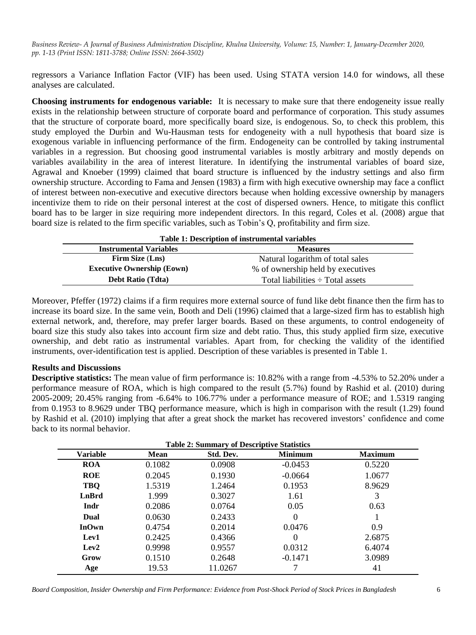regressors a Variance Inflation Factor (VIF) has been used. Using STATA version 14.0 for windows, all these analyses are calculated.

**Choosing instruments for endogenous variable:**It is necessary to make sure that there endogeneity issue really exists in the relationship between structure of corporate board and performance of corporation. This study assumes that the structure of corporate board, more specifically board size, is endogenous. So, to check this problem, this study employed the Durbin and Wu-Hausman tests for endogeneity with a null hypothesis that board size is exogenous variable in influencing performance of the firm. Endogeneity can be controlled by taking instrumental variables in a regression. But choosing good instrumental variables is mostly arbitrary and mostly depends on variables availability in the area of interest literature. In identifying the instrumental variables of board size, Agrawal and Knoeber (1999) claimed that board structure is influenced by the industry settings and also firm ownership structure. According to Fama and Jensen (1983) a firm with high executive ownership may face a conflict of interest between non-executive and executive directors because when holding excessive ownership by managers incentivize them to ride on their personal interest at the cost of dispersed owners. Hence, to mitigate this conflict board has to be larger in size requiring more independent directors. In this regard, Coles et al. (2008) argue that board size is related to the firm specific variables, such as Tobin"s Q, profitability and firm size.

| Table 1: Description of instrumental variables   |                                       |  |  |  |
|--------------------------------------------------|---------------------------------------|--|--|--|
| <b>Instrumental Variables</b><br><b>Measures</b> |                                       |  |  |  |
| Firm Size (Lns)                                  | Natural logarithm of total sales      |  |  |  |
| <b>Executive Ownership (Eown)</b>                | % of ownership held by executives     |  |  |  |
| <b>Debt Ratio (Tdta)</b>                         | Total liabilities $\div$ Total assets |  |  |  |

Moreover, Pfeffer (1972) claims if a firm requires more external source of fund like debt finance then the firm has to increase its board size. In the same vein, Booth and Deli (1996) claimed that a large-sized firm has to establish high external network, and, therefore, may prefer larger boards. Based on these arguments, to control endogeneity of board size this study also takes into account firm size and debt ratio. Thus, this study applied firm size, executive ownership, and debt ratio as instrumental variables. Apart from, for checking the validity of the identified instruments, over-identification test is applied. Description of these variables is presented in Table 1.

# **Results and Discussions**

**Descriptive statistics:** The mean value of firm performance is: 10.82% with a range from -4.53% to 52.20% under a performance measure of ROA, which is high compared to the result (5.7%) found by Rashid et al. (2010) during 2005-2009; 20.45% ranging from -6.64% to 106.77% under a performance measure of ROE; and 1.5319 ranging from 0.1953 to 8.9629 under TBQ performance measure, which is high in comparison with the result (1.29) found by Rashid et al. (2010) implying that after a great shock the market has recovered investors" confidence and come back to its normal behavior.

| <b>Table 2: Summary of Descriptive Statistics</b> |        |           |                |                |  |  |
|---------------------------------------------------|--------|-----------|----------------|----------------|--|--|
| <b>Variable</b>                                   | Mean   | Std. Dev. | <b>Minimum</b> | <b>Maximum</b> |  |  |
| <b>ROA</b>                                        | 0.1082 | 0.0908    | $-0.0453$      | 0.5220         |  |  |
| <b>ROE</b>                                        | 0.2045 | 0.1930    | $-0.0664$      | 1.0677         |  |  |
| TBQ                                               | 1.5319 | 1.2464    | 0.1953         | 8.9629         |  |  |
| LnBrd                                             | 1.999  | 0.3027    | 1.61           | 3              |  |  |
| Indr                                              | 0.2086 | 0.0764    | 0.05           | 0.63           |  |  |
| Dual                                              | 0.0630 | 0.2433    | 0              |                |  |  |
| <b>InOwn</b>                                      | 0.4754 | 0.2014    | 0.0476         | 0.9            |  |  |
| Lev1                                              | 0.2425 | 0.4366    | 0              | 2.6875         |  |  |
| Lev2                                              | 0.9998 | 0.9557    | 0.0312         | 6.4074         |  |  |
| Grow                                              | 0.1510 | 0.2648    | $-0.1471$      | 3.0989         |  |  |
| Age                                               | 19.53  | 11.0267   |                | 41             |  |  |

*Board Composition, Insider Ownership and Firm Performance: Evidence from Post-Shock Period of Stock Prices in Bangladesh* 6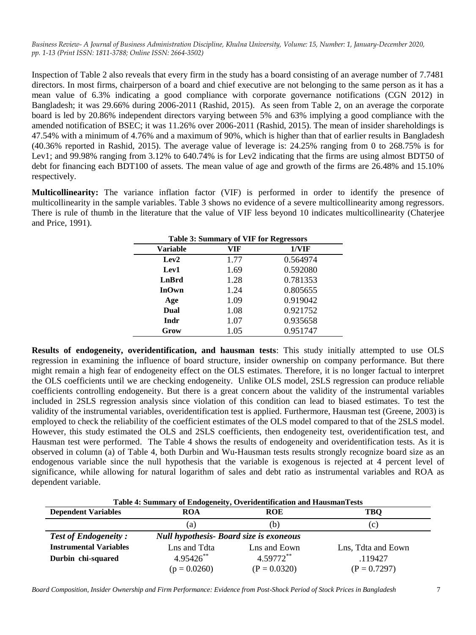Inspection of Table 2 also reveals that every firm in the study has a board consisting of an average number of 7.7481 directors. In most firms, chairperson of a board and chief executive are not belonging to the same person as it has a mean value of 6.3% indicating a good compliance with corporate governance notifications (CGN 2012) in Bangladesh; it was 29.66% during 2006-2011 (Rashid, 2015). As seen from Table 2, on an average the corporate board is led by 20.86% independent directors varying between 5% and 63% implying a good compliance with the amended notification of BSEC; it was 11.26% over 2006-2011 (Rashid, 2015). The mean of insider shareholdings is 47.54% with a minimum of 4.76% and a maximum of 90%, which is higher than that of earlier results in Bangladesh (40.36% reported in Rashid, 2015). The average value of leverage is: 24.25% ranging from 0 to 268.75% is for Lev1; and 99.98% ranging from 3.12% to 640.74% is for Lev2 indicating that the firms are using almost BDT50 of debt for financing each BDT100 of assets. The mean value of age and growth of the firms are 26.48% and 15.10% respectively.

**Multicollinearity:** The variance inflation factor (VIF) is performed in order to identify the presence of multicollinearity in the sample variables. Table 3 shows no evidence of a severe multicollinearity among regressors. There is rule of thumb in the literature that the value of VIF less beyond 10 indicates multicollinearity (Chaterjee and Price, 1991).

| <b>Table 3: Summary of VIF for Regressors</b> |      |          |  |  |  |
|-----------------------------------------------|------|----------|--|--|--|
| 1/VIF<br><b>Variable</b><br>VIF               |      |          |  |  |  |
| Lev2                                          | 1.77 | 0.564974 |  |  |  |
| Lev1                                          | 1.69 | 0.592080 |  |  |  |
| LnBrd                                         | 1.28 | 0.781353 |  |  |  |
| <b>InOwn</b>                                  | 1.24 | 0.805655 |  |  |  |
| Age                                           | 1.09 | 0.919042 |  |  |  |
| Dual                                          | 1.08 | 0.921752 |  |  |  |
| Indr                                          | 1.07 | 0.935658 |  |  |  |
| Grow                                          | 1.05 | 0.951747 |  |  |  |

**Results of endogeneity, overidentification, and hausman tests**: This study initially attempted to use OLS regression in examining the influence of board structure, insider ownership on company performance. But there might remain a high fear of endogeneity effect on the OLS estimates. Therefore, it is no longer factual to interpret the OLS coefficients until we are checking endogeneity. Unlike OLS model, 2SLS regression can produce reliable coefficients controlling endogeneity. But there is a great concern about the validity of the instrumental variables included in 2SLS regression analysis since violation of this condition can lead to biased estimates. To test the validity of the instrumental variables, overidentification test is applied. Furthermore, Hausman test (Greene, 2003) is employed to check the reliability of the coefficient estimates of the OLS model compared to that of the 2SLS model. However, this study estimated the OLS and 2SLS coefficients, then endogeneity test, overidentification test, and Hausman test were performed. The Table 4 shows the results of endogeneity and overidentification tests. As it is observed in column (a) of Table 4, both Durbin and Wu-Hausman tests results strongly recognize board size as an endogenous variable since the null hypothesis that the variable is exogenous is rejected at 4 percent level of significance, while allowing for natural logarithm of sales and debt ratio as instrumental variables and ROA as dependent variable.

| Table 4: Summary of Endogeneity, Overidentification and HausmanTests |  |  |  |  |
|----------------------------------------------------------------------|--|--|--|--|
|----------------------------------------------------------------------|--|--|--|--|

| <b>Dependent Variables</b>    | <b>ROA</b>                                     | <b>ROE</b>     | <b>TBO</b>         |
|-------------------------------|------------------------------------------------|----------------|--------------------|
|                               | (a)                                            | (b)            | (C)                |
| <b>Test of Endogeneity:</b>   | <b>Null hypothesis- Board size is exoneous</b> |                |                    |
| <b>Instrumental Variables</b> | Lns and Tdta<br>Lns and Eown                   |                | Lns, Tdta and Eown |
| Durbin chi-squared            | 4.59772**<br>$4.95426$ **                      |                | .119427            |
|                               | $(p = 0.0260)$                                 | $(P = 0.0320)$ | $(P = 0.7297)$     |

*Board Composition, Insider Ownership and Firm Performance: Evidence from Post-Shock Period of Stock Prices in Bangladesh* 7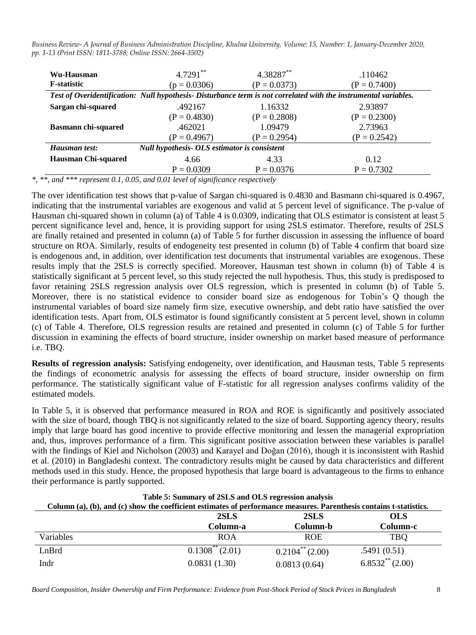| Wu-Hausman                 | $4.7291**$                                                                                                       | 4.38287**      | .110462        |  |
|----------------------------|------------------------------------------------------------------------------------------------------------------|----------------|----------------|--|
| <b>F</b> -statistic        | $(p = 0.0306)$                                                                                                   | $(P = 0.0373)$ | $(P = 0.7400)$ |  |
|                            | Test of Overidentification: Null hypothesis- Disturbance term is not correlated with the instrumental variables. |                |                |  |
| Sargan chi-squared         | .492167                                                                                                          | 1.16332        | 2.93897        |  |
|                            | $(P = 0.4830)$                                                                                                   | $(P = 0.2808)$ | $(P = 0.2300)$ |  |
| <b>Basmann chi-squared</b> | .462021                                                                                                          | 1.09479        | 2.73963        |  |
|                            | $(P = 0.4967)$                                                                                                   | $(P = 0.2954)$ | $(P = 0.2542)$ |  |
| Hausman test:              | Null hypothesis- OLS estimator is consistent                                                                     |                |                |  |
| <b>Hausman Chi-squared</b> | 4.66                                                                                                             | 4.33           | 0.12           |  |
|                            | $P = 0.0309$                                                                                                     | $P = 0.0376$   | $P = 0.7302$   |  |

*\*, \*\*, and \*\*\* represent 0.1, 0.05, and 0.01 level of significance respectively*

The over identification test shows that p-value of Sargan chi-squared is 0.4830 and Basmann chi-squared is 0.4967, indicating that the instrumental variables are exogenous and valid at 5 percent level of significance. The p-value of Hausman chi-squared shown in column (a) of Table 4 is 0.0309, indicating that OLS estimator is consistent at least 5 percent significance level and, hence, it is providing support for using 2SLS estimator. Therefore, results of 2SLS are finally retained and presented in column (a) of Table 5 for further discussion in assessing the influence of board structure on ROA. Similarly, results of endogeneity test presented in column (b) of Table 4 confirm that board size is endogenous and, in addition, over identification test documents that instrumental variables are exogenous. These results imply that the 2SLS is correctly specified. Moreover, Hausman test shown in column (b) of Table 4 is statistically significant at 5 percent level, so this study rejected the null hypothesis. Thus, this study is predisposed to favor retaining 2SLS regression analysis over OLS regression, which is presented in column (b) of Table 5. Moreover, there is no statistical evidence to consider board size as endogenous for Tobin"s Q though the instrumental variables of board size namely firm size, executive ownership, and debt ratio have satisfied the over identification tests. Apart from, OLS estimator is found significantly consistent at 5 percent level, shown in column (c) of Table 4. Therefore, OLS regression results are retained and presented in column (c) of Table 5 for further discussion in examining the effects of board structure, insider ownership on market based measure of performance i.e. TBQ.

**Results of regression analysis:** Satisfying endogeneity, over identification, and Hausman tests, Table 5 represents the findings of econometric analysis for assessing the effects of board structure, insider ownership on firm performance. The statistically significant value of F-statistic for all regression analyses confirms validity of the estimated models.

In Table 5, it is observed that performance measured in ROA and ROE is significantly and positively associated with the size of board, though TBQ is not significantly related to the size of board. Supporting agency theory, results imply that large board has good incentive to provide effective monitoring and lessen the managerial expropriation and, thus, improves performance of a firm. This significant positive association between these variables is parallel with the findings of Kiel and Nicholson (2003) and Karayel and Doğan (2016), though it is inconsistent with Rashid et al. (2010) in Bangladeshi context. The contradictory results might be caused by data characteristics and different methods used in this study. Hence, the proposed hypothesis that large board is advantageous to the firms to enhance their performance is partly supported.

| Table 5: Summary of 2SLS and OLS regression analysis<br>Column (a), (b), and (c) show the coefficient estimates of performance measures. Parenthesis contains t-statistics. |                     |                      |                   |  |  |
|-----------------------------------------------------------------------------------------------------------------------------------------------------------------------------|---------------------|----------------------|-------------------|--|--|
| 2SLS<br>2SLS<br><b>OLS</b>                                                                                                                                                  |                     |                      |                   |  |  |
|                                                                                                                                                                             | Column-a            | Column-b             | Column-c          |  |  |
| <b>Variables</b>                                                                                                                                                            | <b>ROA</b>          | <b>ROE</b>           | <b>TBO</b>        |  |  |
| LnBrd                                                                                                                                                                       | $0.1308^{**}(2.01)$ | $0.2104^{**}$ (2.00) | .5491(0.51)       |  |  |
| Indr                                                                                                                                                                        | 0.0831(1.30)        | 0.0813(0.64)         | $6.8532**$ (2.00) |  |  |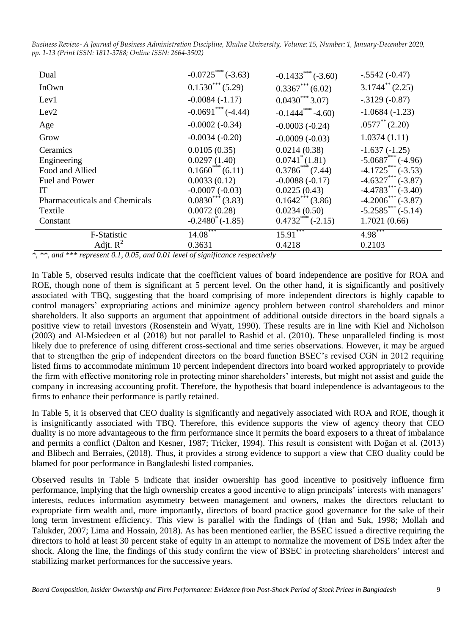| Dual                                 | $-0.0725***(-3.63)$      | $-0.1433***(-3.60)$                | $-.5542(-0.47)$       |
|--------------------------------------|--------------------------|------------------------------------|-----------------------|
| InOwn                                | $0.1530***$ (5.29)       | $0.3367***$ (6.02)                 | $3.1744^{**}$ (2.25)  |
| Lev1                                 | $-0.0084(-1.17)$         | $0.0430^{***}$ 3.07)               | $-.3129(-0.87)$       |
| Lev <sub>2</sub>                     | $-0.0691***$ (-4.44)     | $-0.1444$ <sup>***</sup> $-4.60$ ) | $-1.0684(-1.23)$      |
| Age                                  | $-0.0002(-0.34)$         | $-0.0003(-0.24)$                   | $.0577^{**}(2.20)$    |
| Grow                                 | $-0.0034(-0.20)$         | $-0.0009(-0.03)$                   | 1.0374(1.11)          |
| Ceramics                             | 0.0105(0.35)             | 0.0214(0.38)                       | $-1.637(-1.25)$       |
| Engineering                          | 0.0297(1.40)             | $0.0741^*(1.81)$                   | $-5.0687$ *** (-4.96) |
| Food and Allied                      | $0.1660^{***}$ (6.11)    | $0.3786^{***}$ (7.44)              | $-4.1725***(-3.53)$   |
| Fuel and Power                       | 0.0033(0.12)             | $-0.0088(-0.17)$                   | $-4.6327***$ (-3.87)  |
| <b>IT</b>                            | $-0.0007(-0.03)$         | 0.0225(0.43)                       | $-4.4783***(-3.40)$   |
| <b>Pharmaceuticals and Chemicals</b> | $0.0830^{***}$ (3.83)    | $0.1642***$ (3.86)                 | $-4.2006$ *** (-3.87) |
| Textile                              | 0.0072(0.28)             | 0.0234(0.50)                       | $-5.2585***(-5.14)$   |
| Constant                             | $-0.2480^{\circ}(-1.85)$ | $0.4732***(-2.15)$                 | 1.7021(0.66)          |
| F-Statistic                          | $14.08***$               | $15.91***$                         | $4.98***$             |
| Adjt. $R^2$                          | 0.3631                   | 0.4218                             | 0.2103                |

*\*, \*\*, and \*\*\* represent 0.1, 0.05, and 0.01 level of significance respectively*

In Table 5, observed results indicate that the coefficient values of board independence are positive for ROA and ROE, though none of them is significant at 5 percent level. On the other hand, it is significantly and positively associated with TBQ, suggesting that the board comprising of more independent directors is highly capable to control managers" expropriating actions and minimize agency problem between control shareholders and minor shareholders. It also supports an argument that appointment of additional outside directors in the board signals a positive view to retail investors (Rosenstein and Wyatt, 1990). These results are in line with Kiel and Nicholson (2003) and Al-Msiedeen et al (2018) but not parallel to Rashid et al. (2010). These unparalleled finding is most likely due to preference of using different cross-sectional and time series observations. However, it may be argued that to strengthen the grip of independent directors on the board function BSEC"s revised CGN in 2012 requiring listed firms to accommodate minimum 10 percent independent directors into board worked appropriately to provide the firm with effective monitoring role in protecting minor shareholders" interests, but might not assist and guide the company in increasing accounting profit. Therefore, the hypothesis that board independence is advantageous to the firms to enhance their performance is partly retained.

In Table 5, it is observed that CEO duality is significantly and negatively associated with ROA and ROE, though it is insignificantly associated with TBQ. Therefore, this evidence supports the view of agency theory that CEO duality is no more advantageous to the firm performance since it permits the board exposers to a threat of imbalance and permits a conflict (Dalton and Kesner, 1987; Tricker, 1994). This result is consistent with Doğan et al. (2013) and Blibech and Berraies, (2018). Thus, it provides a strong evidence to support a view that CEO duality could be blamed for poor performance in Bangladeshi listed companies.

Observed results in Table 5 indicate that insider ownership has good incentive to positively influence firm performance, implying that the high ownership creates a good incentive to align principals" interests with managers" interests, reduces information asymmetry between management and owners, makes the directors reluctant to expropriate firm wealth and, more importantly, directors of board practice good governance for the sake of their long term investment efficiency. This view is parallel with the findings of (Han and Suk, 1998; Mollah and Talukder, 2007; Lima and Hossain, 2018). As has been mentioned earlier, the BSEC issued a directive requiring the directors to hold at least 30 percent stake of equity in an attempt to normalize the movement of DSE index after the shock. Along the line, the findings of this study confirm the view of BSEC in protecting shareholders" interest and stabilizing market performances for the successive years.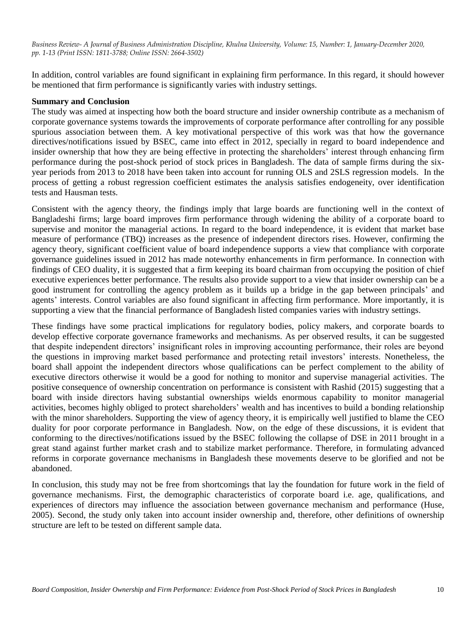In addition, control variables are found significant in explaining firm performance. In this regard, it should however be mentioned that firm performance is significantly varies with industry settings.

# **Summary and Conclusion**

The study was aimed at inspecting how both the board structure and insider ownership contribute as a mechanism of corporate governance systems towards the improvements of corporate performance after controlling for any possible spurious association between them. A key motivational perspective of this work was that how the governance directives/notifications issued by BSEC, came into effect in 2012, specially in regard to board independence and insider ownership that how they are being effective in protecting the shareholders" interest through enhancing firm performance during the post-shock period of stock prices in Bangladesh. The data of sample firms during the sixyear periods from 2013 to 2018 have been taken into account for running OLS and 2SLS regression models. In the process of getting a robust regression coefficient estimates the analysis satisfies endogeneity, over identification tests and Hausman tests.

Consistent with the agency theory, the findings imply that large boards are functioning well in the context of Bangladeshi firms; large board improves firm performance through widening the ability of a corporate board to supervise and monitor the managerial actions. In regard to the board independence, it is evident that market base measure of performance (TBQ) increases as the presence of independent directors rises. However, confirming the agency theory, significant coefficient value of board independence supports a view that compliance with corporate governance guidelines issued in 2012 has made noteworthy enhancements in firm performance. In connection with findings of CEO duality, it is suggested that a firm keeping its board chairman from occupying the position of chief executive experiences better performance. The results also provide support to a view that insider ownership can be a good instrument for controlling the agency problem as it builds up a bridge in the gap between principals" and agents' interests. Control variables are also found significant in affecting firm performance. More importantly, it is supporting a view that the financial performance of Bangladesh listed companies varies with industry settings.

These findings have some practical implications for regulatory bodies, policy makers, and corporate boards to develop effective corporate governance frameworks and mechanisms. As per observed results, it can be suggested that despite independent directors" insignificant roles in improving accounting performance, their roles are beyond the questions in improving market based performance and protecting retail investors" interests. Nonetheless, the board shall appoint the independent directors whose qualifications can be perfect complement to the ability of executive directors otherwise it would be a good for nothing to monitor and supervise managerial activities. The positive consequence of ownership concentration on performance is consistent with Rashid (2015) suggesting that a board with inside directors having substantial ownerships wields enormous capability to monitor managerial activities, becomes highly obliged to protect shareholders" wealth and has incentives to build a bonding relationship with the minor shareholders. Supporting the view of agency theory, it is empirically well justified to blame the CEO duality for poor corporate performance in Bangladesh. Now, on the edge of these discussions, it is evident that conforming to the directives/notifications issued by the BSEC following the collapse of DSE in 2011 brought in a great stand against further market crash and to stabilize market performance. Therefore, in formulating advanced reforms in corporate governance mechanisms in Bangladesh these movements deserve to be glorified and not be abandoned.

In conclusion, this study may not be free from shortcomings that lay the foundation for future work in the field of governance mechanisms. First, the demographic characteristics of corporate board i.e. age, qualifications, and experiences of directors may influence the association between governance mechanism and performance (Huse, 2005). Second, the study only taken into account insider ownership and, therefore, other definitions of ownership structure are left to be tested on different sample data.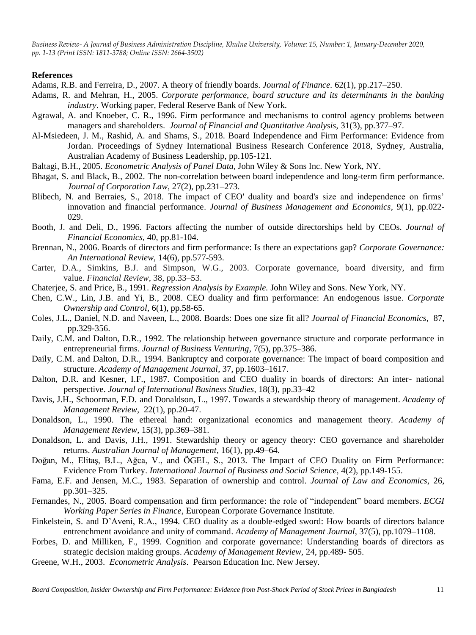#### **References**

Adams, R.B. and Ferreira, D., 2007. A theory of friendly boards. *Journal of Finance.* 62(1), pp.217–250.

- Adams, R. and Mehran, H., 2005. *Corporate performance, board structure and its determinants in the banking industry*. Working paper, Federal Reserve Bank of New York.
- Agrawal, A. and Knoeber, C. R., 1996. Firm performance and mechanisms to control agency problems between managers and shareholders. *Journal of Financial and Quantitative Analysis,* 31(3), pp.377–97.
- Al-Msiedeen, J. M., Rashid, A. and Shams, S., 2018. Board Independence and Firm Performance: Evidence from Jordan. Proceedings of Sydney International Business Research Conference 2018, Sydney, Australia, Australian Academy of Business Leadership, pp.105-121.
- Baltagi, B.H., 2005. *Econometric Analysis of Panel Data,* John Wiley & Sons Inc. New York, NY.
- Bhagat, S. and Black, B., 2002. The non-correlation between board independence and long-term firm performance. *Journal of Corporation Law,* 27(2), pp.231–273.
- Blibech, N. and Berraies, S., 2018. The impact of CEO' duality and board's size and independence on firms" innovation and financial performance. *Journal of Business Management and Economics*, 9(1), pp.022- 029.
- Booth, J. and Deli, D., 1996. Factors affecting the number of outside directorships held by CEOs. *Journal of Financial Economics,* 40, pp.81-104.
- Brennan, N., 2006. Boards of directors and firm performance: Is there an expectations gap? *Corporate Governance: An International Review,* 14(6), pp.577-593.
- Carter, D.A., Simkins, B.J. and Simpson, W.G., 2003. Corporate governance, board diversity, and firm value. *Financial Review*, 38, pp*.*33–53.
- Chaterjee, S. and Price, B., 1991. *Regression Analysis by Example.* John Wiley and Sons. New York, NY.
- Chen, C.W., Lin, J.B. and Yi, B., 2008. CEO duality and firm performance: An endogenous issue. *Corporate Ownership and Control*, 6(1), pp.58-65.
- Coles, J.L., Daniel, N.D. and Naveen, L., 2008. Boards: Does one size fit all? *Journal of Financial Economics*, 87, pp.329-356.
- Daily, C.M. and Dalton, D.R., 1992. The relationship between governance structure and corporate performance in entrepreneurial firms. *Journal of Business Venturing*, 7(5), pp.375–386.
- Daily, C.M. and Dalton, D.R., 1994. Bankruptcy and corporate governance: The impact of board composition and structure. *Academy of Management Journal*, 37, pp.1603–1617.
- Dalton, D.R. and Kesner, I.F., 1987. Composition and CEO duality in boards of directors: An inter- national perspective. *Journal of International Business Studies*, 18(3), pp.33–42
- Davis, J.H., Schoorman, F.D. and Donaldson, L., 1997. Towards a stewardship theory of management. *Academy of Management Review,* 22(1), pp.20-47.
- Donaldson, L., 1990. The ethereal hand: organizational economics and management theory. *Academy of Management Review*, 15(3), pp.369–381.
- Donaldson, L. and Davis, J.H., 1991. Stewardship theory or agency theory: CEO governance and shareholder returns. *Australian Journal of Management*, 16(1), pp.49–64.
- Doğan, M., Elitaş, B.L., Ağca, V., and ÖGEL, S., 2013. The Impact of CEO Duality on Firm Performance: Evidence From Turkey. *International Journal of Business and Social Science,* 4(2), pp.149-155.
- Fama, E.F. and Jensen, M.C., 1983. Separation of ownership and control. *Journal of Law and Economics*, 26, pp.301–325.
- Fernandes, N., 2005. Board compensation and firm performance: the role of "independent" board members. *ECGI Working Paper Series in Finance*, European Corporate Governance Institute.
- Finkelstein, S. and D"Aveni, R.A., 1994. CEO duality as a double-edged sword: How boards of directors balance entrenchment avoidance and unity of command. *Academy of Management Journal*, 37(5), pp.1079–1108.
- Forbes, D. and Milliken, F., 1999. Cognition and corporate governance: Understanding boards of directors as strategic decision making groups. *Academy of Management Review,* 24, pp.489- 505.
- Greene, W.H., 2003. *Econometric Analysis*. Pearson Education Inc. New Jersey.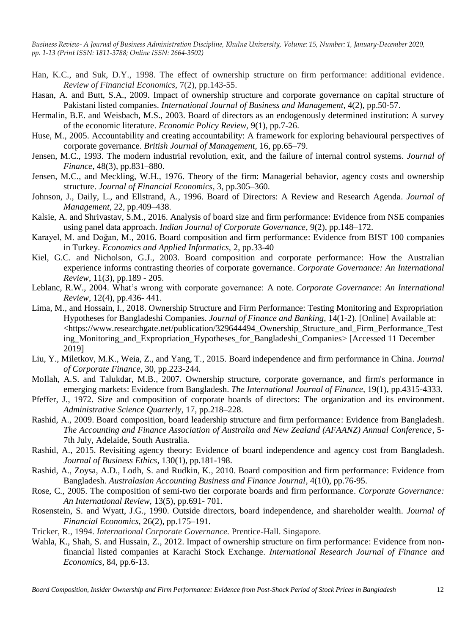- Han, K.C., and Suk, D.Y., 1998. The effect of ownership structure on firm performance: additional evidence. *Review of Financial Economics,* 7(2), pp.143-55.
- Hasan, A. and Butt, S.A., 2009. Impact of ownership structure and corporate governance on capital structure of Pakistani listed companies. *International Journal of Business and Management,* 4(2), pp.50-57.
- Hermalin, B.E. and Weisbach, M.S., 2003. Board of directors as an endogenously determined institution: A survey of the economic literature. *Economic Policy Review,* 9(1), pp.7-26.
- Huse, M., 2005. Accountability and creating accountability: A framework for exploring behavioural perspectives of corporate governance. *British Journal of Management,* 16, pp.65–79.
- Jensen, M.C., 1993. The modern industrial revolution, exit, and the failure of internal control systems. *Journal of Finance*, 48(3), pp.831–880.
- Jensen, M.C., and Meckling, W.H., 1976. Theory of the firm: Managerial behavior, agency costs and ownership structure. *Journal of Financial Economics*, 3, pp.305–360.
- Johnson, J., Daily, L., and Ellstrand, A., 1996. Board of Directors: A Review and Research Agenda. *Journal of Management,* 22, pp.409–438.
- Kalsie, A. and Shrivastav, S.M., 2016. Analysis of board size and firm performance: Evidence from NSE companies using panel data approach. *Indian Journal of Corporate Governance*, 9(2), pp.148–172.
- Karayel, M. and Doğan, M., 2016. Board composition and firm performance: Evidence from BIST 100 companies in Turkey. *Economics and Applied Informatics,* 2, pp.33-40
- Kiel, G.C. and Nicholson, G.J., 2003. Board composition and corporate performance: How the Australian experience informs contrasting theories of corporate governance. *Corporate Governance: An International Review*, 11(3), pp.189 - 205.
- Leblanc, R.W., 2004. What"s wrong with corporate governance: A note. *Corporate Governance: An International Review,* 12(4), pp.436- 441.
- Lima, M., and Hossain, I., 2018. Ownership Structure and Firm Performance: Testing Monitoring and Expropriation Hypotheses for Bangladeshi Companies. *Journal of Finance and Banking,* 14(1-2). [Online] Available at: <https://www.researchgate.net/publication/329644494\_Ownership\_Structure\_and\_Firm\_Performance\_Test ing Monitoring and Expropriation Hypotheses for Bangladeshi Companies> [Accessed 11 December 2019]
- Liu, Y., Miletkov, M.K., Weia, Z., and Yang, T., 2015. Board independence and firm performance in China. *Journal of Corporate Finance,* 30, pp.223-244.
- MoIlah, A.S. and Talukdar, M.B., 2007. Ownership structure, corporate governance, and firm's performance in emerging markets: Evidence from Bangladesh. *The International Journal of Finance,* 19(1), pp.4315-4333.
- Pfeffer, J., 1972. Size and composition of corporate boards of directors: The organization and its environment. *Administrative Science Quarterly*, 17, pp.218–228.
- Rashid, A., 2009. Board composition, board leadership structure and firm performance: Evidence from Bangladesh. *The Accounting and Finance Association of Australia and New Zealand (AFAANZ) Annual Conference*, 5- 7th July, Adelaide, South Australia.
- Rashid, A., 2015. Revisiting agency theory: Evidence of board independence and agency cost from Bangladesh. *Journal of Business Ethics,* 130(1), pp.181-198.
- Rashid, A., Zoysa, A.D., Lodh, S. and Rudkin, K., 2010. Board composition and firm performance: Evidence from Bangladesh. *Australasian Accounting Business and Finance Journal,* 4(10), pp.76-95.
- Rose, C., 2005. The composition of semi-two tier corporate boards and firm performance. *Corporate Governance: An International Review,* 13(5), pp.691- 701.
- Rosenstein, S. and Wyatt, J.G., 1990. Outside directors, board independence, and shareholder wealth. *Journal of Financial Economics,* 26(2), pp.175–191.
- Tricker, R., 1994. *International Corporate Governance.* Prentice-Hall. Singapore.
- Wahla, K., Shah, S. and Hussain, Z., 2012. Impact of ownership structure on firm performance: Evidence from nonfinancial listed companies at Karachi Stock Exchange. *International Research Journal of Finance and Economics,* 84, pp.6-13.